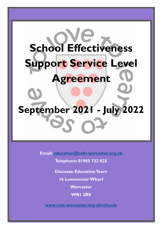## **School Effectiveness Support Service Level Agreement**

# **September 2021 - July 2022**

**Email: [education@cofe-worcester.org.uk](mailto:education@cofe-worcester.org.uk)**

**Telephone: 01905 732 825**

**Diocesan Education Team**

**16 Lowesmoor Wharf**

**Worcester**

**WR1 2RS**

**[www.cofe-worcester.org.uk/schools](https://www.cofe-worcester.org.uk/schools/)**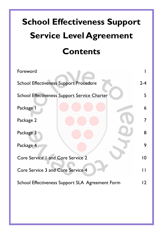## **School Effectiveness Support Service Level Agreement Contents**

| Foreword                                            |                |  |  |
|-----------------------------------------------------|----------------|--|--|
| <b>School Effectiveness Support Procedure</b>       |                |  |  |
| <b>School Effectiveness Support Service Charter</b> |                |  |  |
| Package I                                           | 6              |  |  |
| Package 2                                           | $\overline{7}$ |  |  |
| Package 3                                           | 8              |  |  |
| Package 4                                           | 9              |  |  |
| Core Service I and Core Service 2                   | $\overline{0}$ |  |  |
| Core Service 3 and Core Service 4                   |                |  |  |
| School Effectiveness Support SLA Agreement Form     |                |  |  |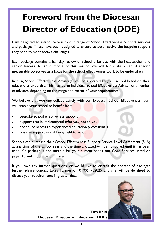## **Foreword from the Diocesan Director of Education (DDE)**

I am delighted to introduce you to our range of School Effectiveness Support services and packages. These have been designed to ensure schools receive the bespoke support they need to meet today's challenges.

Each package contains a half day review of school priorities with the headteacher and senior leaders. As an outcome of this session, we will formulate a set of specific measurable objectives as a focus for the school effectiveness work to be undertaken.

In turn, School Effectiveness Adviser(s) will be allocated to your school based on their educational expertise. This may be an individual School Effectiveness Adviser or a number of advisers, depending on the range and extent of your requirements.

We believe that working collaboratively with our Diocesan School Effectiveness Team will enable your school to benefit from:

- bespoke school effectiveness support
- support that is implemented *with you,* not to you
- continued access to experienced education professionals
- positive support whilst being held to account.

Schools can purchase their School Effectiveness Support Service Level Agreement (SLA) at any time of the school year and the time allocated will be honoured until it has been used. If a package is not suitable for your current needs, our Core Services, listed on pages 10 and 11, can be purchased.

If you have any further questions, or would like to discuss the content of packages further, please contact Laura Farmer on 01905 732825 and she will be delighted to discuss your requirements in greater detail.



**Tim Reid Diocesan Director of Education (DDE)**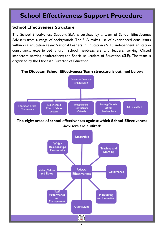## **School Effectiveness Support Procedure**

#### **School Effectiveness Structure**

The School Effectiveness Support SLA is serviced by a team of School Effectiveness Advisers from a range of backgrounds. The SLA makes use of experienced consultants within out education team: National Leaders in Education (NLE); independent education consultants; experienced church school headteachers and leaders; serving Ofsted inspectors; serving headteachers; and Specialist Leaders of Education (SLE). The team is organised by the Diocesan Director of Education.





**The eight areas of school effectiveness against which School Effectiveness Advisers are audited:** 



**2**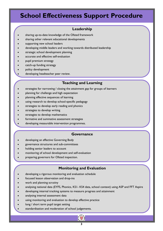## **School Effectiveness Support Procedure**

#### **Leadership**

- sharing up-to-date knowledge of the Ofsted framework
- sharing other relevant educational developments
- supporting new school leaders
- developing middle leaders and working towards distributed leadership
- strategic school development planning
- accurate and effective self-evaluation
- pupil premium strategy
- catch-up funding strategy
- policy development
- developing headteacher peer review.

#### **Teaching and Learning**

- strategies for narrowing / closing the attainment gap for groups of learners
- planning for challenge and high expectation
- planning effective sequences of learning
- using research to develop school-specific pedagogy
- strategies to develop early reading and phonics
- strategies to develop writing
- strategies to develop mathematics
- formative and summative assessment strategies
- developing measurable intervention programmes.

#### **Governance**

- developing an effective Governing Body
- governance structures and sub-committees
- holding senior leaders to account
- monitoring of school development and self-evaluation
- preparing governors for Ofsted inspection.

#### **Monitoring and Evaluation**

- developing a rigorous monitoring and evaluation schedule
- focused lesson observation and drop-ins
- work and planning scrutiny
- analysing national data (EYFS, Phonics, KS1- KS4 data, school context) using ASP and FFT Aspire
- developing internal tracking systems to measure progress and attainment
- analysing internal assessment data
- using monitoring and evaluation to develop effective practice
- long / short term pupil target setting
- standardisation and moderation of school judgements.

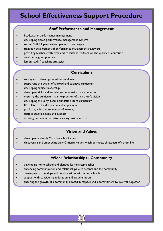## **School Effectiveness Support Procedure**

#### **Staff Performance and Management**

- headteacher performance management
- developing tiered performance management systems
- setting SMART personalised performance targets
- training / development of performance management reviewers
- providing teachers with clear and consistent feedback on the quality of education
- celebrating good practice
- lesson study / coaching strategies.

#### **Curriculum**

- strategies to develop the wider curriculum
- supporting the design of a broad and balanced curriculum
- developing subject leadership
- developing skills and knowledge progression documentation
- ensuring the curriculum is an expression of the school's vision
- developing the Early Years Foundation Stage curriculum
- KS1, KS2, KS3 and KS4 curriculum planning
- producing effective sequences of learning
- subject specific advice and support
- creating purposeful, creative learning environments.

#### **Vision and Values**

- developing a deeply Christian school vision
- discovering and embedding truly Christian values which permeate all aspects of school life.

#### **Wider Relationships - Community**

- developing home-school and blended learning approaches
- enhancing communication and relationships with parents and the community
- developing partnerships and collaborations with other schools
- support with considering federation and academisation
- ensuring the growth of a community rooted in respect and a commitment to live well together.

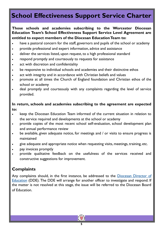## **School Effectiveness Support Service Charter**

#### **Those schools and academies subscribing to the Worcester Diocesan Education Team's School Effectiveness Support Service Level Agreement are entitled to expect members of the Diocesan Education Team to:**

- have a pastoral concern for the staff, governors and pupils of the school or academy
- provide professional and expert information, advice and assistance
- deliver the services listed, upon request, to a high professional standard
- respond promptly and courteously to requests for assistance
- act with discretion and confidentiality
- be responsive to individual schools and academies and their distinctive ethos
- act with integrity and in accordance with Christian beliefs and values
- promote at all times the Church of England foundation and Christian ethos of the school or academy
- deal promptly and courteously with any complaints regarding the level of service provided.

#### **In return, schools and academies subscribing to the agreement are expected to:**

- keep the Diocesan Education Team informed of the current situation in relation to the service required and developments at the school or academy
- provide copies of the most recent school self-evaluation, school development plan and annual performance review
- be available, given adequate notice, for meetings and / or visits to ensure progress is maintained
- give adequate and appropriate notice when requesting visits, meetings, training, etc.
- pay invoices promptly
- provide qualitative feedback on the usefulness of the services received and constructive suggestions for improvement.

#### **Complaints**

Any complaints should, in the first instance, be addressed to the [Diocesan Director of](mailto:treid@cofe-worcester.org.uk)  [Education](mailto:treid@cofe-worcester.org.uk) (DDE). The DDE will arrange for another officer to investigate and respond. If the matter is not resolved at this stage, the issue will be referred to the Diocesan Board of Education.

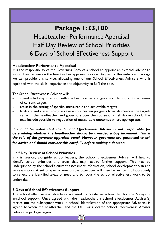## **Package 1: £3,100**

Headteacher Performance Appraisal Half Day Review of School Priorities 6 Days of School Effectiveness Support

#### **Headteacher Performance Appraisal**

It is the responsibility of the Governing Body of a school to appoint an external adviser to support and advise on the headteacher appraisal process. As part of this enhanced package we can provide this service, allocating one of our School Effectiveness Advisers who is equipped with the skills, experience and objectivity to fulfil the role.

The School Effectiveness Adviser will:

- spend a half day in school with the headteacher and governors to support the review of current targets
- assist in the setting of specific, measurable and achievable targets
- facilitate and run a mid-cycle review to ascertain progress towards meeting the targets set with the headteacher and governors over the course of a half day in school. This may include possible re-negotiation of measurable outcomes where appropriate.

*It should be noted that the School Effectiveness Adviser is not responsible for determining whether the headteacher should be awarded a pay increment. This is the role of the governor appraisal panel. However, governors are permitted to ask for advice and should consider this carefully before making a decision.* 

#### **Half Day Review of School Priorities**

In this session, alongside school leaders, the School Effectiveness Adviser will help to identify school priorities and areas that may require further support. This may be underpinned by the school's current assessment information, school development plan and self-evaluation. A set of specific measurable objectives will then be written collaboratively to reflect the identified areas of need and to focus the school effectiveness work to be undertaken.

#### **6 Days of School Effectiveness Support**

The school effectiveness objectives are used to create an action plan for the 6 days of in-school support. Once agreed with the headteacher, a School Effectiveness Adviser(s) carries out the subsequent work in school. Identification of the appropriate Adviser(s) is agreed between the headteacher and the DDE or allocated School Effectiveness Adviser before the package begins.

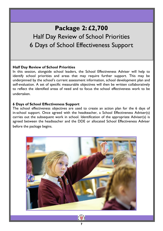## **Package 2: £2,700** Half Day Review of School Priorities 6 Days of School Effectiveness Support

#### **Half Day Review of School Priorities**

In this session, alongside school leaders, the School Effectiveness Adviser will help to identify school priorities and areas that may require further support. This may be underpinned by the school's current assessment information, school development plan and self-evaluation. A set of specific measurable objectives will then be written collaboratively to reflect the identified areas of need and to focus the school effectiveness work to be undertaken.

#### **6 Days of School Effectiveness Support**

The school effectiveness objectives are used to create an action plan for the 6 days of in-school support. Once agreed with the headteacher, a School Effectiveness Adviser(s) carries out the subsequent work in school. Identification of the appropriate Adviser(s) is agreed between the headteacher and the DDE or allocated School Effectiveness Adviser before the package begins.



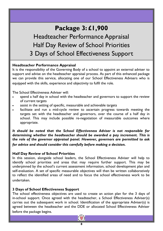## **Package 3: £1,900**

Headteacher Performance Appraisal Half Day Review of School Priorities 3 Days of School Effectiveness Support

#### **Headteacher Performance Appraisal**

It is the responsibility of the Governing Body of a school to appoint an external adviser to support and advise on the headteacher appraisal process. As part of this enhanced package we can provide this service, allocating one of our School Effectiveness Advisers who is equipped with the skills, experience and objectivity to fulfil the role.

The School Effectiveness Adviser will:

- spend a half day in school with the headteacher and governors to support the review of current targets
- assist in the setting of specific, measurable and achievable targets
- facilitate and run a mid-cycle review to ascertain progress towards meeting the targets set with the headteacher and governors, over the course of a half day in school. This may include possible re-negotiation of measurable outcomes where appropriate.

*It should be noted that the School Effectiveness Adviser is not responsible for determining whether the headteacher should be awarded a pay increment. This is the role of the governor appraisal panel. However, governors are permitted to ask for advice and should consider this carefully before making a decision.* 

#### **Half Day Review of School Priorities**

In this session, alongside school leaders, the School Effectiveness Adviser will help to identify school priorities and areas that may require further support. This may be underpinned by the school's current assessment information, school development plan and self-evaluation. A set of specific measurable objectives will then be written collaboratively to reflect the identified areas of need and to focus the school effectiveness work to be undertaken.

#### **3 Days of School Effectiveness Support**

The school effectiveness objectives are used to create an action plan for the 3 days of in-school support. Once agreed with the headteacher, a School Effectiveness Adviser(s) carries out the subsequent work in school. Identification of the appropriate Adviser(s) is agreed between the headteacher and the DDE or allocated School Effectiveness Adviser before the package begins.

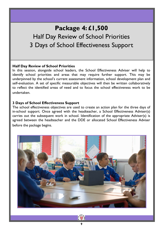## **Package 4: £1,500** Half Day Review of School Priorities 3 Days of School Effectiveness Support

#### **Half Day Review of School Priorities**

In this session, alongside school leaders, the School Effectiveness Adviser will help to identify school priorities and areas that may require further support. This may be underpinned by the school's current assessment information, school development plan and self-evaluation. A set of specific measurable objectives will then be written collaboratively to reflect the identified areas of need and to focus the school effectiveness work to be undertaken.

#### **3 Days of School Effectiveness Support**

The school effectiveness objectives are used to create an action plan for the three days of in-school support. Once agreed with the headteacher, a School Effectiveness Adviser(s) carries out the subsequent work in school. Identification of the appropriate Adviser(s) is agreed between the headteacher and the DDE or allocated School Effectiveness Adviser before the package begins.



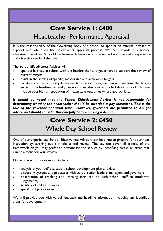## **Core Service 1: £400**

### Headteacher Performance Appraisal

It is the responsibility of the Governing Body of a school to appoint an external adviser to support and advise on the headteacher appraisal process. We can provide this service, allocating one of our School Effectiveness Advisers who is equipped with the skills, experience and objectivity to fulfil the role.

The School Effectiveness Adviser will:

- spend a half day in school with the headteacher and governors to support the review of current targets
- assist in the setting of specific, measurable and achievable targets
- facilitate and run a mid-cycle review to ascertain progress towards meeting the targets set with the headteacher and governors, over the course of a half day in school. This may include possible re-negotiation of measurable outcomes where appropriate.

*It should be noted that the School Effectiveness Adviser is not responsible for determining whether the headteacher should be awarded a pay increment. This is the role of the governor appraisal panel. However, governors are permitted to ask for advice and should consider this carefully before making a decision.* 

## **Core Service 2: £450** Whole Day School Review

One of our experienced School Effectiveness Advisers can help you to prepare for your next inspection by carrying out a whole school review. The day can cover all aspects of the framework or you may prefer to personalise the service by identifying particular areas that can be a focus for your review.

Our whole school reviews can include:

- analysis of your self-evaluation, school development plan and data
- discussing systems and processes with school senior leaders, managers and governors
- observation of teaching and learning (this can be with school staff to moderate judgements)
- scrutiny of children's work
- specific subject reviews.

We will provide you with verbal feedback and headline information including any identified areas for development.

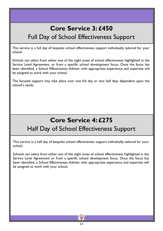## **Core Service 3: £450** Full Day of School Effectiveness Support

This service is a full day of bespoke school effectiveness support individually tailored for your school.

Schools can select from either one of the eight areas of school effectiveness highlighted in the Service Level Agreement, or from a specific school development focus. Once the focus has been identified, a School Effectiveness Adviser with appropriate experience and expertise will be assigned to work with your school.

The focused support may take place over one full day or two half days dependent upon the school's needs.

## **Core Service 4: £275** Half Day of School Effectiveness Support

This service is a half day of bespoke school effectiveness support individually tailored for your school.

Schools can select from either one of the eight areas of school effectiveness highlighted in the Service Level Agreement or from a specific school development focus. Once the focus has been identified, a School Effectiveness Adviser with appropriate experience and expertise will be assigned to work with your school.